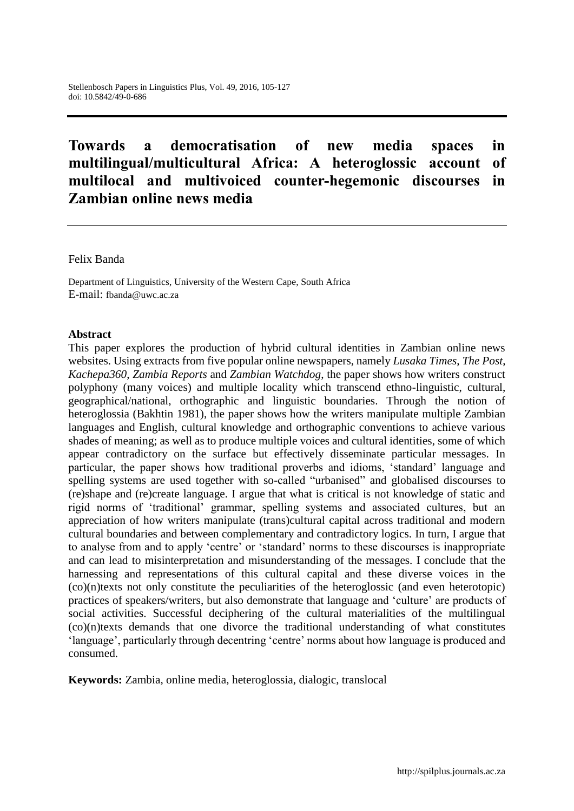# **Towards a democratisation of new media spaces in multilingual/multicultural Africa: A heteroglossic account of multilocal and multivoiced counter-hegemonic discourses in Zambian online news media**

Felix Banda

Department of Linguistics, University of the Western Cape, South Africa E-mail: fbanda@uwc.ac.za

#### **Abstract**

This paper explores the production of hybrid cultural identities in Zambian online news websites. Using extracts from five popular online newspapers, namely *Lusaka Times*, *The Post*, *Kachepa360*, *Zambia Reports* and *Zambian Watchdog*, the paper shows how writers construct polyphony (many voices) and multiple locality which transcend ethno-linguistic, cultural, geographical/national, orthographic and linguistic boundaries. Through the notion of heteroglossia (Bakhtin 1981), the paper shows how the writers manipulate multiple Zambian languages and English, cultural knowledge and orthographic conventions to achieve various shades of meaning; as well as to produce multiple voices and cultural identities, some of which appear contradictory on the surface but effectively disseminate particular messages. In particular, the paper shows how traditional proverbs and idioms, 'standard' language and spelling systems are used together with so-called "urbanised" and globalised discourses to (re)shape and (re)create language. I argue that what is critical is not knowledge of static and rigid norms of 'traditional' grammar, spelling systems and associated cultures, but an appreciation of how writers manipulate (trans)cultural capital across traditional and modern cultural boundaries and between complementary and contradictory logics. In turn, I argue that to analyse from and to apply 'centre' or 'standard' norms to these discourses is inappropriate and can lead to misinterpretation and misunderstanding of the messages. I conclude that the harnessing and representations of this cultural capital and these diverse voices in the (co)(n)texts not only constitute the peculiarities of the heteroglossic (and even heterotopic) practices of speakers/writers, but also demonstrate that language and 'culture' are products of social activities. Successful deciphering of the cultural materialities of the multilingual (co)(n)texts demands that one divorce the traditional understanding of what constitutes 'language', particularly through decentring 'centre' norms about how language is produced and consumed.

**Keywords:** Zambia, online media, heteroglossia, dialogic, translocal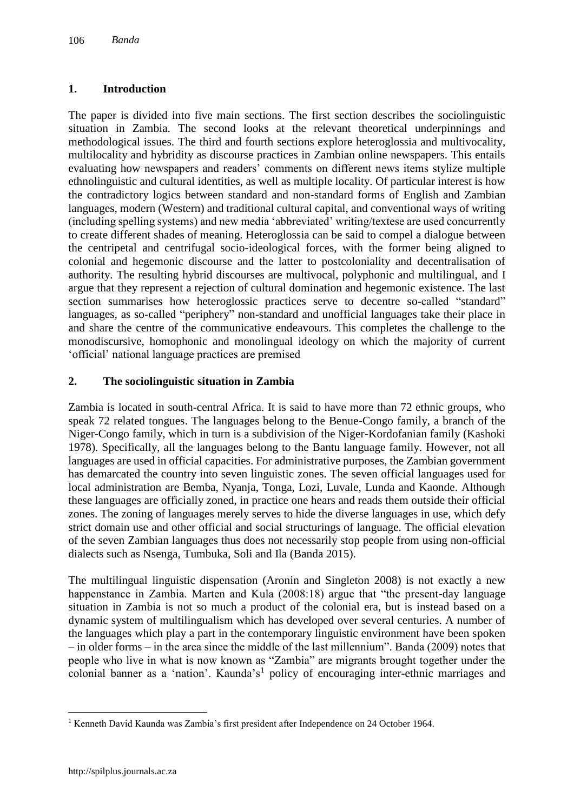# **1. Introduction**

The paper is divided into five main sections. The first section describes the sociolinguistic situation in Zambia. The second looks at the relevant theoretical underpinnings and methodological issues. The third and fourth sections explore heteroglossia and multivocality, multilocality and hybridity as discourse practices in Zambian online newspapers. This entails evaluating how newspapers and readers' comments on different news items stylize multiple ethnolinguistic and cultural identities, as well as multiple locality. Of particular interest is how the contradictory logics between standard and non-standard forms of English and Zambian languages, modern (Western) and traditional cultural capital, and conventional ways of writing (including spelling systems) and new media 'abbreviated' writing/textese are used concurrently to create different shades of meaning. Heteroglossia can be said to compel a dialogue between the centripetal and centrifugal socio-ideological forces, with the former being aligned to colonial and hegemonic discourse and the latter to postcoloniality and decentralisation of authority. The resulting hybrid discourses are multivocal, polyphonic and multilingual, and I argue that they represent a rejection of cultural domination and hegemonic existence. The last section summarises how heteroglossic practices serve to decentre so-called "standard" languages, as so-called "periphery" non-standard and unofficial languages take their place in and share the centre of the communicative endeavours. This completes the challenge to the monodiscursive, homophonic and monolingual ideology on which the majority of current 'official' national language practices are premised

# **2. The sociolinguistic situation in Zambia**

Zambia is located in south-central Africa. It is said to have more than 72 ethnic groups, who speak 72 related tongues. The languages belong to the Benue-Congo family, a branch of the Niger-Congo family, which in turn is a subdivision of the Niger-Kordofanian family (Kashoki 1978). Specifically, all the languages belong to the Bantu language family. However, not all languages are used in official capacities. For administrative purposes, the Zambian government has demarcated the country into seven linguistic zones. The seven official languages used for local administration are Bemba, Nyanja, Tonga, Lozi, Luvale, Lunda and Kaonde. Although these languages are officially zoned, in practice one hears and reads them outside their official zones. The zoning of languages merely serves to hide the diverse languages in use, which defy strict domain use and other official and social structurings of language. The official elevation of the seven Zambian languages thus does not necessarily stop people from using non-official dialects such as Nsenga, Tumbuka, Soli and Ila (Banda 2015).

The multilingual linguistic dispensation (Aronin and Singleton 2008) is not exactly a new happenstance in Zambia. Marten and Kula (2008:18) argue that "the present-day language situation in Zambia is not so much a product of the colonial era, but is instead based on a dynamic system of multilingualism which has developed over several centuries. A number of the languages which play a part in the contemporary linguistic environment have been spoken – in older forms – in the area since the middle of the last millennium". Banda (2009) notes that people who live in what is now known as "Zambia" are migrants brought together under the colonial banner as a 'nation'. Kaunda's<sup>1</sup> policy of encouraging inter-ethnic marriages and

 $\overline{a}$ <sup>1</sup> Kenneth David Kaunda was Zambia's first president after Independence on 24 October 1964.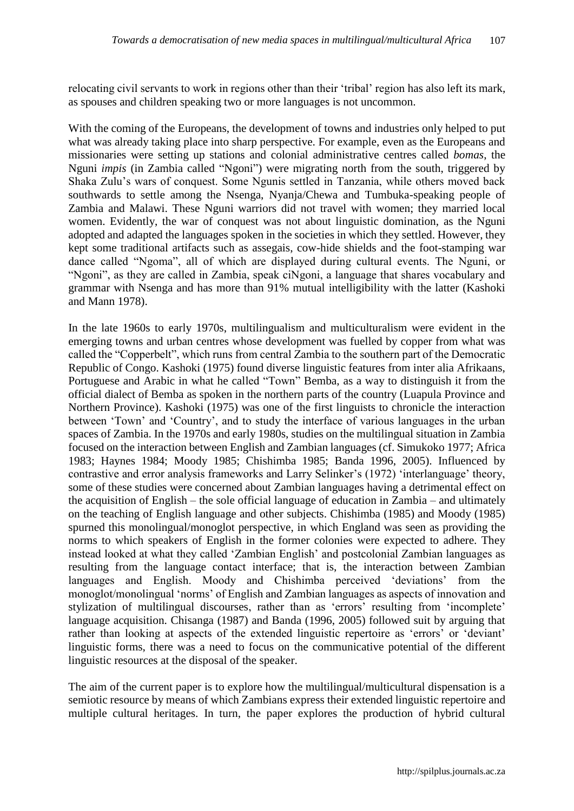relocating civil servants to work in regions other than their 'tribal' region has also left its mark, as spouses and children speaking two or more languages is not uncommon.

With the coming of the Europeans, the development of towns and industries only helped to put what was already taking place into sharp perspective. For example, even as the Europeans and missionaries were setting up stations and colonial administrative centres called *bomas*, the Nguni *impis* (in Zambia called "Ngoni") were migrating north from the south, triggered by Shaka Zulu's wars of conquest. Some Ngunis settled in Tanzania, while others moved back southwards to settle among the Nsenga, Nyanja/Chewa and Tumbuka-speaking people of Zambia and Malawi. These Nguni warriors did not travel with women; they married local women. Evidently, the war of conquest was not about linguistic domination, as the Nguni adopted and adapted the languages spoken in the societies in which they settled. However, they kept some traditional artifacts such as assegais, cow-hide shields and the foot-stamping war dance called "Ngoma", all of which are displayed during cultural events. The Nguni, or "Ngoni", as they are called in Zambia, speak ciNgoni, a language that shares vocabulary and grammar with Nsenga and has more than 91% mutual intelligibility with the latter (Kashoki and Mann 1978).

In the late 1960s to early 1970s, multilingualism and multiculturalism were evident in the emerging towns and urban centres whose development was fuelled by copper from what was called the "Copperbelt", which runs from central Zambia to the southern part of the Democratic Republic of Congo. Kashoki (1975) found diverse linguistic features from inter alia Afrikaans, Portuguese and Arabic in what he called "Town" Bemba, as a way to distinguish it from the official dialect of Bemba as spoken in the northern parts of the country (Luapula Province and Northern Province). Kashoki (1975) was one of the first linguists to chronicle the interaction between 'Town' and 'Country', and to study the interface of various languages in the urban spaces of Zambia. In the 1970s and early 1980s, studies on the multilingual situation in Zambia focused on the interaction between English and Zambian languages (cf. Simukoko 1977; Africa 1983; Haynes 1984; Moody 1985; Chishimba 1985; Banda 1996, 2005). Influenced by contrastive and error analysis frameworks and Larry Selinker's (1972) 'interlanguage' theory, some of these studies were concerned about Zambian languages having a detrimental effect on the acquisition of English – the sole official language of education in Zambia – and ultimately on the teaching of English language and other subjects. Chishimba (1985) and Moody (1985) spurned this monolingual/monoglot perspective, in which England was seen as providing the norms to which speakers of English in the former colonies were expected to adhere. They instead looked at what they called 'Zambian English' and postcolonial Zambian languages as resulting from the language contact interface; that is, the interaction between Zambian languages and English. Moody and Chishimba perceived 'deviations' from the monoglot/monolingual 'norms' of English and Zambian languages as aspects of innovation and stylization of multilingual discourses, rather than as 'errors' resulting from 'incomplete' language acquisition. Chisanga (1987) and Banda (1996, 2005) followed suit by arguing that rather than looking at aspects of the extended linguistic repertoire as 'errors' or 'deviant' linguistic forms, there was a need to focus on the communicative potential of the different linguistic resources at the disposal of the speaker.

The aim of the current paper is to explore how the multilingual/multicultural dispensation is a semiotic resource by means of which Zambians express their extended linguistic repertoire and multiple cultural heritages. In turn, the paper explores the production of hybrid cultural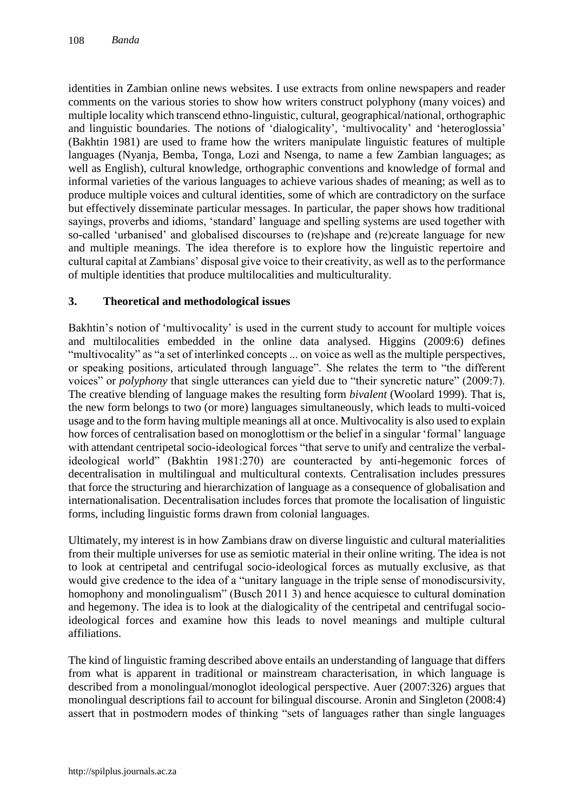identities in Zambian online news websites. I use extracts from online newspapers and reader comments on the various stories to show how writers construct polyphony (many voices) and multiple locality which transcend ethno-linguistic, cultural, geographical/national, orthographic and linguistic boundaries. The notions of 'dialogicality', 'multivocality' and 'heteroglossia' (Bakhtin 1981) are used to frame how the writers manipulate linguistic features of multiple languages (Nyanja, Bemba, Tonga, Lozi and Nsenga, to name a few Zambian languages; as well as English), cultural knowledge, orthographic conventions and knowledge of formal and informal varieties of the various languages to achieve various shades of meaning; as well as to produce multiple voices and cultural identities, some of which are contradictory on the surface but effectively disseminate particular messages. In particular, the paper shows how traditional sayings, proverbs and idioms, 'standard' language and spelling systems are used together with so-called 'urbanised' and globalised discourses to (re)shape and (re)create language for new and multiple meanings. The idea therefore is to explore how the linguistic repertoire and cultural capital at Zambians' disposal give voice to their creativity, as well as to the performance of multiple identities that produce multilocalities and multiculturality.

#### **3. Theoretical and methodological issues**

Bakhtin's notion of 'multivocality' is used in the current study to account for multiple voices and multilocalities embedded in the online data analysed. Higgins (2009:6) defines "multivocality" as "a set of interlinked concepts ... on voice as well as the multiple perspectives, or speaking positions, articulated through language". She relates the term to "the different voices" or *polyphony* that single utterances can yield due to "their syncretic nature" (2009:7). The creative blending of language makes the resulting form *bivalent* (Woolard 1999). That is, the new form belongs to two (or more) languages simultaneously, which leads to multi-voiced usage and to the form having multiple meanings all at once. Multivocality is also used to explain how forces of centralisation based on monoglottism or the belief in a singular 'formal' language with attendant centripetal socio-ideological forces "that serve to unify and centralize the verbalideological world" (Bakhtin 1981:270) are counteracted by anti-hegemonic forces of decentralisation in multilingual and multicultural contexts. Centralisation includes pressures that force the structuring and hierarchization of language as a consequence of globalisation and internationalisation. Decentralisation includes forces that promote the localisation of linguistic forms, including linguistic forms drawn from colonial languages.

Ultimately, my interest is in how Zambians draw on diverse linguistic and cultural materialities from their multiple universes for use as semiotic material in their online writing. The idea is not to look at centripetal and centrifugal socio-ideological forces as mutually exclusive, as that would give credence to the idea of a "unitary language in the triple sense of monodiscursivity, homophony and monolingualism" (Busch 2011 3) and hence acquiesce to cultural domination and hegemony. The idea is to look at the dialogicality of the centripetal and centrifugal socioideological forces and examine how this leads to novel meanings and multiple cultural affiliations.

The kind of linguistic framing described above entails an understanding of language that differs from what is apparent in traditional or mainstream characterisation, in which language is described from a monolingual/monoglot ideological perspective. Auer (2007:326) argues that monolingual descriptions fail to account for bilingual discourse. Aronin and Singleton (2008:4) assert that in postmodern modes of thinking "sets of languages rather than single languages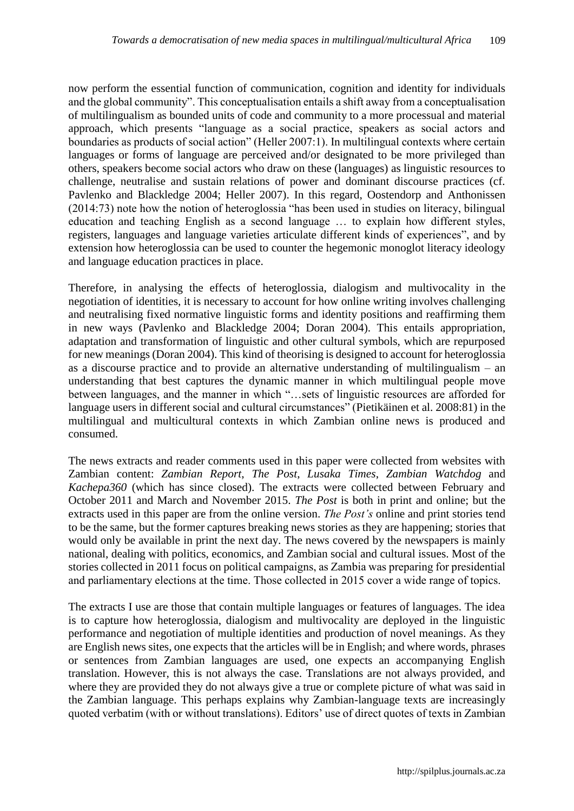now perform the essential function of communication, cognition and identity for individuals and the global community". This conceptualisation entails a shift away from a conceptualisation of multilingualism as bounded units of code and community to a more processual and material approach, which presents "language as a social practice, speakers as social actors and boundaries as products of social action" (Heller 2007:1). In multilingual contexts where certain languages or forms of language are perceived and/or designated to be more privileged than others, speakers become social actors who draw on these (languages) as linguistic resources to challenge, neutralise and sustain relations of power and dominant discourse practices (cf. Pavlenko and Blackledge 2004; Heller 2007). In this regard, Oostendorp and Anthonissen (2014:73) note how the notion of heteroglossia "has been used in studies on literacy, bilingual education and teaching English as a second language … to explain how different styles, registers, languages and language varieties articulate different kinds of experiences", and by extension how heteroglossia can be used to counter the hegemonic monoglot literacy ideology and language education practices in place.

Therefore, in analysing the effects of heteroglossia, dialogism and multivocality in the negotiation of identities, it is necessary to account for how online writing involves challenging and neutralising fixed normative linguistic forms and identity positions and reaffirming them in new ways (Pavlenko and Blackledge 2004; Doran 2004). This entails appropriation, adaptation and transformation of linguistic and other cultural symbols, which are repurposed for new meanings (Doran 2004). This kind of theorising is designed to account for heteroglossia as a discourse practice and to provide an alternative understanding of multilingualism – an understanding that best captures the dynamic manner in which multilingual people move between languages, and the manner in which "…sets of linguistic resources are afforded for language users in different social and cultural circumstances" (Pietikäinen et al. 2008:81) in the multilingual and multicultural contexts in which Zambian online news is produced and consumed.

The news extracts and reader comments used in this paper were collected from websites with Zambian content: *Zambian Report*, *The Post*, *Lusaka Times*, *Zambian Watchdog* and *Kachepa360* (which has since closed). The extracts were collected between February and October 2011 and March and November 2015. *The Post* is both in print and online; but the extracts used in this paper are from the online version. *The Post's* online and print stories tend to be the same, but the former captures breaking news stories as they are happening; stories that would only be available in print the next day. The news covered by the newspapers is mainly national, dealing with politics, economics, and Zambian social and cultural issues. Most of the stories collected in 2011 focus on political campaigns, as Zambia was preparing for presidential and parliamentary elections at the time. Those collected in 2015 cover a wide range of topics.

The extracts I use are those that contain multiple languages or features of languages. The idea is to capture how heteroglossia, dialogism and multivocality are deployed in the linguistic performance and negotiation of multiple identities and production of novel meanings. As they are English news sites, one expects that the articles will be in English; and where words, phrases or sentences from Zambian languages are used, one expects an accompanying English translation. However, this is not always the case. Translations are not always provided, and where they are provided they do not always give a true or complete picture of what was said in the Zambian language. This perhaps explains why Zambian-language texts are increasingly quoted verbatim (with or without translations). Editors' use of direct quotes of texts in Zambian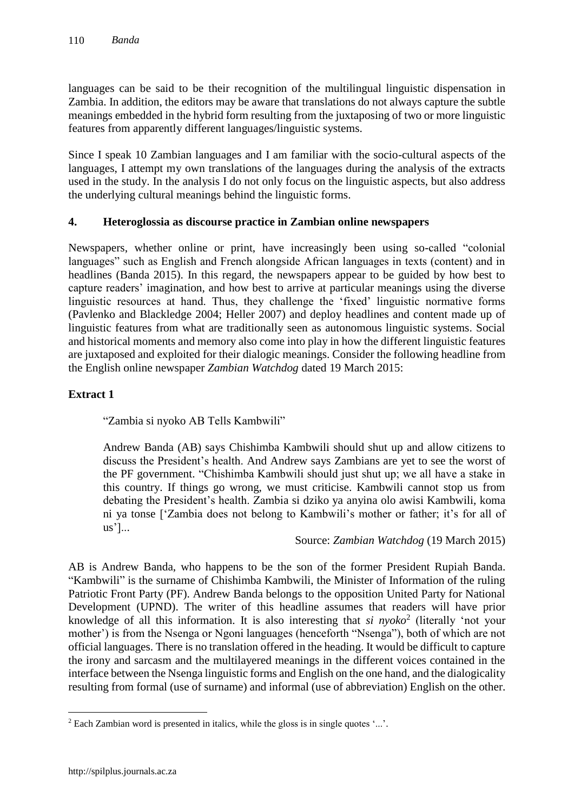languages can be said to be their recognition of the multilingual linguistic dispensation in Zambia. In addition, the editors may be aware that translations do not always capture the subtle meanings embedded in the hybrid form resulting from the juxtaposing of two or more linguistic features from apparently different languages/linguistic systems.

Since I speak 10 Zambian languages and I am familiar with the socio-cultural aspects of the languages, I attempt my own translations of the languages during the analysis of the extracts used in the study. In the analysis I do not only focus on the linguistic aspects, but also address the underlying cultural meanings behind the linguistic forms.

## **4. Heteroglossia as discourse practice in Zambian online newspapers**

Newspapers, whether online or print, have increasingly been using so-called "colonial languages" such as English and French alongside African languages in texts (content) and in headlines (Banda 2015). In this regard, the newspapers appear to be guided by how best to capture readers' imagination, and how best to arrive at particular meanings using the diverse linguistic resources at hand. Thus, they challenge the 'fixed' linguistic normative forms (Pavlenko and Blackledge 2004; Heller 2007) and deploy headlines and content made up of linguistic features from what are traditionally seen as autonomous linguistic systems. Social and historical moments and memory also come into play in how the different linguistic features are juxtaposed and exploited for their dialogic meanings. Consider the following headline from the English online newspaper *Zambian Watchdog* dated 19 March 2015:

## **Extract 1**

"Zambia si nyoko AB Tells Kambwili"

Andrew Banda (AB) says Chishimba Kambwili should shut up and allow citizens to discuss the President's health. And Andrew says Zambians are yet to see the worst of the PF government. "Chishimba Kambwili should just shut up; we all have a stake in this country. If things go wrong, we must criticise. Kambwili cannot stop us from debating the President's health. Zambia si dziko ya anyina olo awisi Kambwili, koma ni ya tonse ['Zambia does not belong to Kambwili's mother or father; it's for all of us']...

## Source: *Zambian Watchdog* (19 March 2015)

AB is Andrew Banda, who happens to be the son of the former President Rupiah Banda. "Kambwili" is the surname of Chishimba Kambwili, the Minister of Information of the ruling Patriotic Front Party (PF). Andrew Banda belongs to the opposition United Party for National Development (UPND). The writer of this headline assumes that readers will have prior knowledge of all this information. It is also interesting that *si nyoko*<sup>2</sup> (literally 'not your mother') is from the Nsenga or Ngoni languages (henceforth "Nsenga"), both of which are not official languages. There is no translation offered in the heading. It would be difficult to capture the irony and sarcasm and the multilayered meanings in the different voices contained in the interface between the Nsenga linguistic forms and English on the one hand, and the dialogicality resulting from formal (use of surname) and informal (use of abbreviation) English on the other.

 $\overline{a}$ 

 $2$  Each Zambian word is presented in italics, while the gloss is in single quotes  $\ldots$ .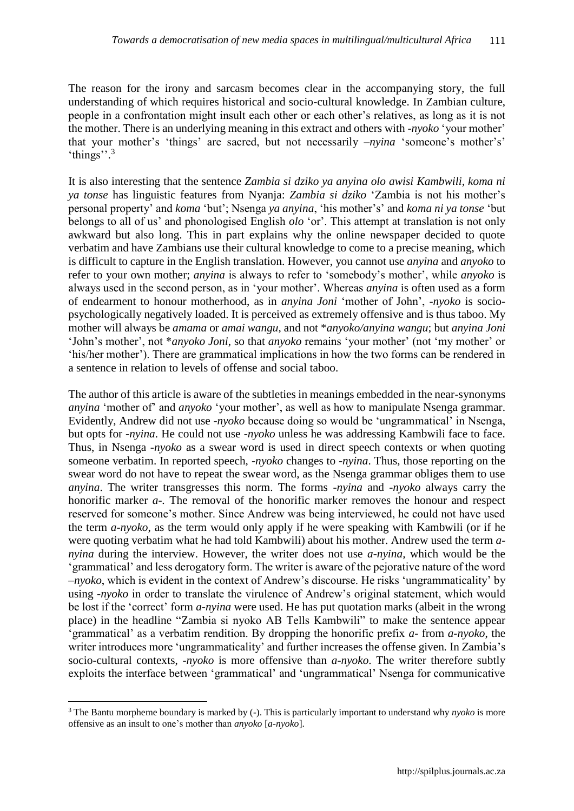The reason for the irony and sarcasm becomes clear in the accompanying story, the full understanding of which requires historical and socio-cultural knowledge. In Zambian culture, people in a confrontation might insult each other or each other's relatives, as long as it is not the mother. There is an underlying meaning in this extract and others with *-nyoko* 'your mother' that your mother's 'things' are sacred, but not necessarily *–nyina* 'someone's mother's' 'things''.<sup>3</sup>

It is also interesting that the sentence *Zambia si dziko ya anyina olo awisi Kambwili, koma ni ya tonse* has linguistic features from Nyanja: *Zambia si dziko* 'Zambia is not his mother's personal property' and *koma* 'but'; Nsenga *ya anyina*, 'his mother's' and *koma ni ya tonse* 'but belongs to all of us' and phonologised English *olo* 'or'. This attempt at translation is not only awkward but also long. This in part explains why the online newspaper decided to quote verbatim and have Zambians use their cultural knowledge to come to a precise meaning, which is difficult to capture in the English translation. However, you cannot use *anyina* and *anyoko* to refer to your own mother; *anyina* is always to refer to 'somebody's mother', while *anyoko* is always used in the second person, as in 'your mother'. Whereas *anyina* is often used as a form of endearment to honour motherhood, as in *anyina Joni* 'mother of John', *-nyoko* is sociopsychologically negatively loaded. It is perceived as extremely offensive and is thus taboo. My mother will always be *amama* or *amai wangu*, and not \**anyoko/anyina wangu*; but *anyina Joni* 'John's mother', not \**anyoko Joni*, so that *anyoko* remains 'your mother' (not 'my mother' or 'his/her mother'). There are grammatical implications in how the two forms can be rendered in a sentence in relation to levels of offense and social taboo.

The author of this article is aware of the subtleties in meanings embedded in the near-synonyms *anyina* 'mother of' and *anyoko* 'your mother', as well as how to manipulate Nsenga grammar. Evidently, Andrew did not use -*nyoko* because doing so would be 'ungrammatical' in Nsenga, but opts for *-nyina*. He could not use *-nyoko* unless he was addressing Kambwili face to face. Thus, in Nsenga *-nyoko* as a swear word is used in direct speech contexts or when quoting someone verbatim. In reported speech, *-nyoko* changes to *-nyina*. Thus, those reporting on the swear word do not have to repeat the swear word, as the Nsenga grammar obliges them to use *anyina*. The writer transgresses this norm. The forms *-nyina* and *-nyoko* always carry the honorific marker *a*-. The removal of the honorific marker removes the honour and respect reserved for someone's mother. Since Andrew was being interviewed, he could not have used the term *a-nyoko*, as the term would only apply if he were speaking with Kambwili (or if he were quoting verbatim what he had told Kambwili) about his mother. Andrew used the term *anyina* during the interview. However, the writer does not use *a-nyina,* which would be the 'grammatical' and less derogatory form. The writer is aware of the pejorative nature of the word –*nyoko*, which is evident in the context of Andrew's discourse. He risks 'ungrammaticality' by using *-nyoko* in order to translate the virulence of Andrew's original statement, which would be lost if the 'correct' form *a-nyina* were used. He has put quotation marks (albeit in the wrong place) in the headline "Zambia si nyoko AB Tells Kambwili" to make the sentence appear 'grammatical' as a verbatim rendition. By dropping the honorific prefix *a-* from *a-nyoko*, the writer introduces more 'ungrammaticality' and further increases the offense given*.* In Zambia's socio-cultural contexts, *-nyoko* is more offensive than *a-nyoko*. The writer therefore subtly exploits the interface between 'grammatical' and 'ungrammatical' Nsenga for communicative

 $\overline{a}$ 

<sup>3</sup> The Bantu morpheme boundary is marked by (-). This is particularly important to understand why *nyoko* is more offensive as an insult to one's mother than *anyoko* [*a-nyoko*].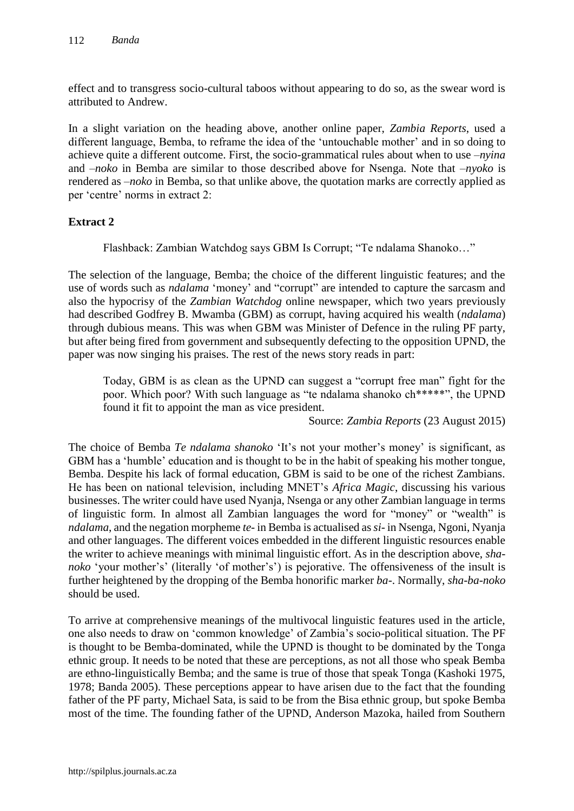effect and to transgress socio-cultural taboos without appearing to do so, as the swear word is attributed to Andrew.

In a slight variation on the heading above, another online paper, *Zambia Reports*, used a different language, Bemba, to reframe the idea of the 'untouchable mother' and in so doing to achieve quite a different outcome. First, the socio-grammatical rules about when to use *–nyina* and *–noko* in Bemba are similar to those described above for Nsenga. Note that *–nyoko* is rendered as *–noko* in Bemba, so that unlike above, the quotation marks are correctly applied as per 'centre' norms in extract 2:

## **Extract 2**

Flashback: Zambian Watchdog says GBM Is Corrupt; "Te ndalama Shanoko…"

The selection of the language, Bemba; the choice of the different linguistic features; and the use of words such as *ndalama* 'money' and "corrupt" are intended to capture the sarcasm and also the hypocrisy of the *Zambian Watchdog* online newspaper, which two years previously had described Godfrey B. Mwamba (GBM) as corrupt, having acquired his wealth (*ndalama*) through dubious means. This was when GBM was Minister of Defence in the ruling PF party, but after being fired from government and subsequently defecting to the opposition UPND, the paper was now singing his praises. The rest of the news story reads in part:

Today, GBM is as clean as the UPND can suggest a "corrupt free man" fight for the poor. Which poor? With such language as "te ndalama shanoko ch\*\*\*\*\*", the UPND found it fit to appoint the man as vice president.

Source: *Zambia Reports* (23 August 2015)

The choice of Bemba *Te ndalama shanoko* 'It's not your mother's money' is significant, as GBM has a 'humble' education and is thought to be in the habit of speaking his mother tongue, Bemba. Despite his lack of formal education, GBM is said to be one of the richest Zambians. He has been on national television, including MNET's *Africa Magic*, discussing his various businesses. The writer could have used Nyanja, Nsenga or any other Zambian language in terms of linguistic form. In almost all Zambian languages the word for "money" or "wealth" is *ndalama*, and the negation morpheme *te*- in Bemba is actualised as *si*- in Nsenga, Ngoni, Nyanja and other languages. The different voices embedded in the different linguistic resources enable the writer to achieve meanings with minimal linguistic effort. As in the description above, *shanoko* 'your mother's' (literally 'of mother's') is pejorative. The offensiveness of the insult is further heightened by the dropping of the Bemba honorific marker *ba-*. Normally, *sha-ba-noko*  should be used.

To arrive at comprehensive meanings of the multivocal linguistic features used in the article, one also needs to draw on 'common knowledge' of Zambia's socio-political situation. The PF is thought to be Bemba-dominated, while the UPND is thought to be dominated by the Tonga ethnic group. It needs to be noted that these are perceptions, as not all those who speak Bemba are ethno-linguistically Bemba; and the same is true of those that speak Tonga (Kashoki 1975, 1978; Banda 2005). These perceptions appear to have arisen due to the fact that the founding father of the PF party, Michael Sata, is said to be from the Bisa ethnic group, but spoke Bemba most of the time. The founding father of the UPND, Anderson Mazoka, hailed from Southern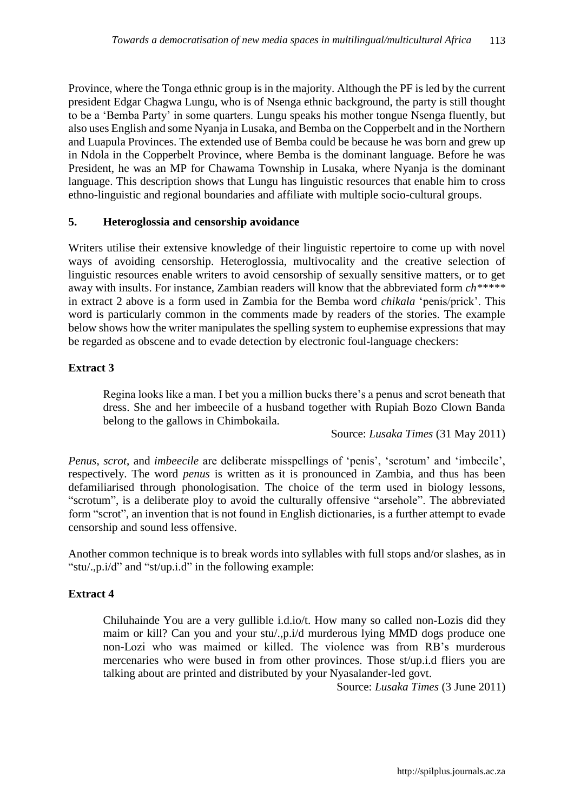Province, where the Tonga ethnic group is in the majority. Although the PF is led by the current president Edgar Chagwa Lungu, who is of Nsenga ethnic background, the party is still thought to be a 'Bemba Party' in some quarters. Lungu speaks his mother tongue Nsenga fluently, but also uses English and some Nyanja in Lusaka, and Bemba on the Copperbelt and in the Northern and Luapula Provinces. The extended use of Bemba could be because he was born and grew up in Ndola in the Copperbelt Province, where Bemba is the dominant language. Before he was President, he was an MP for Chawama Township in Lusaka, where Nyanja is the dominant language. This description shows that Lungu has linguistic resources that enable him to cross ethno-linguistic and regional boundaries and affiliate with multiple socio-cultural groups.

#### **5. Heteroglossia and censorship avoidance**

Writers utilise their extensive knowledge of their linguistic repertoire to come up with novel ways of avoiding censorship. Heteroglossia, multivocality and the creative selection of linguistic resources enable writers to avoid censorship of sexually sensitive matters, or to get away with insults. For instance, Zambian readers will know that the abbreviated form *ch\*\*\*\*\** in extract 2 above is a form used in Zambia for the Bemba word *chikala* 'penis/prick'. This word is particularly common in the comments made by readers of the stories. The example below shows how the writer manipulates the spelling system to euphemise expressions that may be regarded as obscene and to evade detection by electronic foul-language checkers:

#### **Extract 3**

Regina looks like a man. I bet you a million bucks there's a penus and scrot beneath that dress. She and her imbeecile of a husband together with Rupiah Bozo Clown Banda belong to the gallows in Chimbokaila.

Source: *Lusaka Times* (31 May 2011)

*Penus*, *scrot*, and *imbeecile* are deliberate misspellings of 'penis', 'scrotum' and 'imbecile', respectively. The word *penus* is written as it is pronounced in Zambia, and thus has been defamiliarised through phonologisation. The choice of the term used in biology lessons, "scrotum", is a deliberate ploy to avoid the culturally offensive "arsehole". The abbreviated form "scrot", an invention that is not found in English dictionaries, is a further attempt to evade censorship and sound less offensive.

Another common technique is to break words into syllables with full stops and/or slashes, as in "stu/.,p.i/d" and "st/up.i.d" in the following example:

## **Extract 4**

Chiluhainde You are a very gullible i.d.io/t. How many so called non-Lozis did they maim or kill? Can you and your stu/.,p.i/d murderous lying MMD dogs produce one non-Lozi who was maimed or killed. The violence was from RB's murderous mercenaries who were bused in from other provinces. Those st/up.i.d fliers you are talking about are printed and distributed by your Nyasalander-led govt.

Source: *Lusaka Times* (3 June 2011)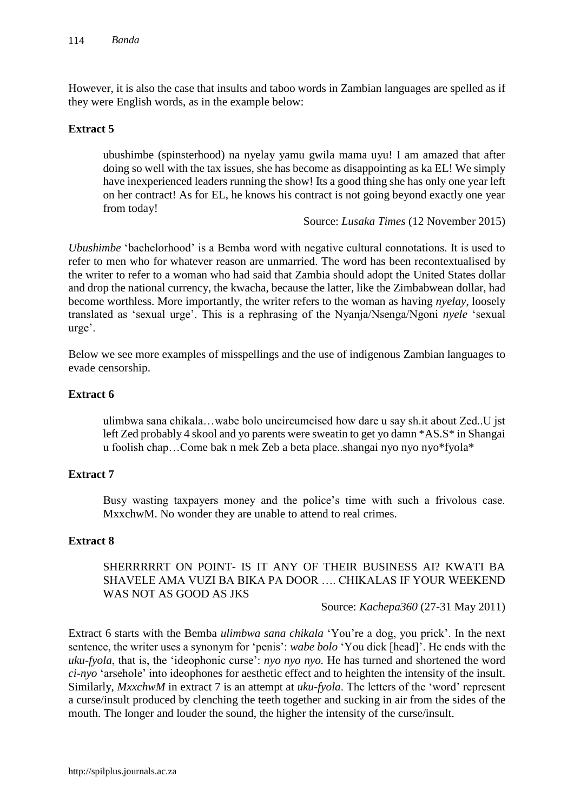However, it is also the case that insults and taboo words in Zambian languages are spelled as if they were English words, as in the example below:

## **Extract 5**

ubushimbe (spinsterhood) na nyelay yamu gwila mama uyu! I am amazed that after doing so well with the tax issues, she has become as disappointing as ka EL! We simply have inexperienced leaders running the show! Its a good thing she has only one year left on her contract! As for EL, he knows his contract is not going beyond exactly one year from today!

Source: *Lusaka Times* (12 November 2015)

*Ubushimbe* 'bachelorhood' is a Bemba word with negative cultural connotations. It is used to refer to men who for whatever reason are unmarried. The word has been recontextualised by the writer to refer to a woman who had said that Zambia should adopt the United States dollar and drop the national currency, the kwacha, because the latter, like the Zimbabwean dollar, had become worthless. More importantly, the writer refers to the woman as having *nyelay*, loosely translated as 'sexual urge'. This is a rephrasing of the Nyanja/Nsenga/Ngoni *nyele* 'sexual urge'.

Below we see more examples of misspellings and the use of indigenous Zambian languages to evade censorship.

## **Extract 6**

ulimbwa sana chikala…wabe bolo uncircumcised how dare u say sh.it about Zed..U jst left Zed probably 4 skool and yo parents were sweatin to get yo damn \*AS.S\* in Shangai u foolish chap…Come bak n mek Zeb a beta place..shangai nyo nyo nyo\*fyola\*

#### **Extract 7**

Busy wasting taxpayers money and the police's time with such a frivolous case. MxxchwM. No wonder they are unable to attend to real crimes.

#### **Extract 8**

## SHERRRRRT ON POINT- IS IT ANY OF THEIR BUSINESS AI? KWATI BA SHAVELE AMA VUZI BA BIKA PA DOOR …. CHIKALAS IF YOUR WEEKEND WAS NOT AS GOOD AS JKS

Source: *Kachepa360* (27-31 May 2011)

Extract 6 starts with the Bemba *ulimbwa sana chikala* 'You're a dog, you prick'. In the next sentence, the writer uses a synonym for 'penis': *wabe bolo* 'You dick [head]'. He ends with the *uku-fyola*, that is, the 'ideophonic curse': *nyo nyo nyo.* He has turned and shortened the word *ci-nyo* 'arsehole' into ideophones for aesthetic effect and to heighten the intensity of the insult. Similarly, *MxxchwM* in extract 7 is an attempt at *uku-fyola*. The letters of the 'word' represent a curse/insult produced by clenching the teeth together and sucking in air from the sides of the mouth. The longer and louder the sound, the higher the intensity of the curse/insult.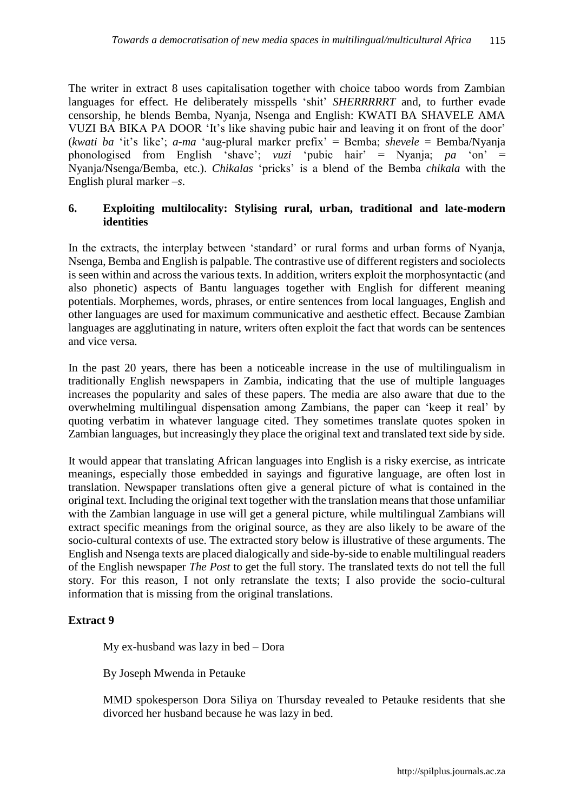The writer in extract 8 uses capitalisation together with choice taboo words from Zambian languages for effect. He deliberately misspells 'shit' *SHERRRRRT* and, to further evade censorship, he blends Bemba, Nyanja, Nsenga and English: KWATI BA SHAVELE AMA VUZI BA BIKA PA DOOR 'It's like shaving pubic hair and leaving it on front of the door' (*kwati ba* 'it's like'; *a-ma* 'aug-plural marker prefix' = Bemba; *shevele* = Bemba/Nyanja phonologised from English 'shave'; *vuzi* 'pubic hair' = Nyanja; *pa* 'on' = Nyanja/Nsenga/Bemba, etc.). *Chikalas* 'pricks' is a blend of the Bemba *chikala* with the English plural marker *–s*.

#### **6. Exploiting multilocality: Stylising rural, urban, traditional and late-modern identities**

In the extracts, the interplay between 'standard' or rural forms and urban forms of Nyanja, Nsenga, Bemba and English is palpable. The contrastive use of different registers and sociolects is seen within and across the various texts. In addition, writers exploit the morphosyntactic (and also phonetic) aspects of Bantu languages together with English for different meaning potentials. Morphemes, words, phrases, or entire sentences from local languages, English and other languages are used for maximum communicative and aesthetic effect. Because Zambian languages are agglutinating in nature, writers often exploit the fact that words can be sentences and vice versa.

In the past 20 years, there has been a noticeable increase in the use of multilingualism in traditionally English newspapers in Zambia, indicating that the use of multiple languages increases the popularity and sales of these papers. The media are also aware that due to the overwhelming multilingual dispensation among Zambians, the paper can 'keep it real' by quoting verbatim in whatever language cited. They sometimes translate quotes spoken in Zambian languages, but increasingly they place the original text and translated text side by side.

It would appear that translating African languages into English is a risky exercise, as intricate meanings, especially those embedded in sayings and figurative language, are often lost in translation. Newspaper translations often give a general picture of what is contained in the original text. Including the original text together with the translation means that those unfamiliar with the Zambian language in use will get a general picture, while multilingual Zambians will extract specific meanings from the original source, as they are also likely to be aware of the socio-cultural contexts of use. The extracted story below is illustrative of these arguments. The English and Nsenga texts are placed dialogically and side-by-side to enable multilingual readers of the English newspaper *The Post* to get the full story. The translated texts do not tell the full story. For this reason, I not only retranslate the texts; I also provide the socio-cultural information that is missing from the original translations.

## **Extract 9**

My ex-husband was lazy in bed – Dora

By Joseph Mwenda in Petauke

MMD spokesperson Dora Siliya on Thursday revealed to Petauke residents that she divorced her husband because he was lazy in bed.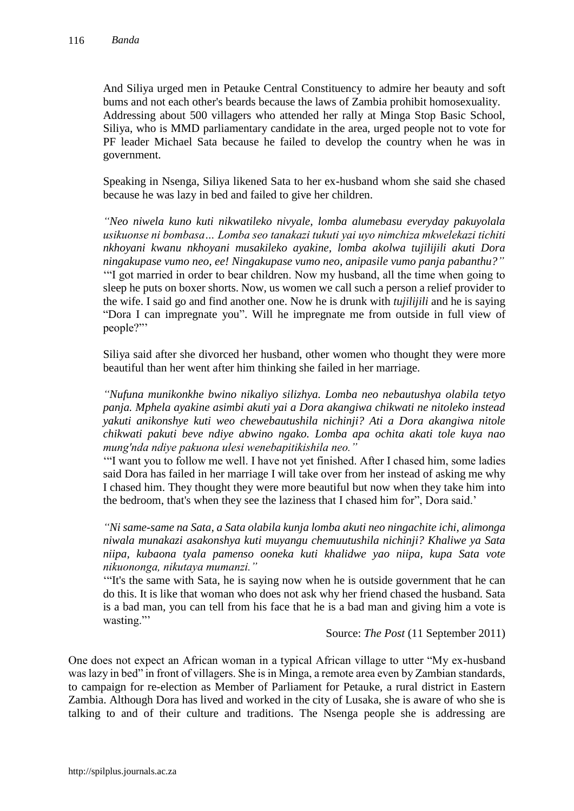And Siliya urged men in Petauke Central Constituency to admire her beauty and soft bums and not each other's beards because the laws of Zambia prohibit homosexuality. Addressing about 500 villagers who attended her rally at Minga Stop Basic School, Siliya, who is MMD parliamentary candidate in the area, urged people not to vote for PF leader Michael Sata because he failed to develop the country when he was in government.

Speaking in Nsenga, Siliya likened Sata to her ex-husband whom she said she chased because he was lazy in bed and failed to give her children.

*"Neo niwela kuno kuti nikwatileko nivyale, lomba alumebasu everyday pakuyolala usikuonse ni bombasa… Lomba seo tanakazi tukuti yai uyo nimchiza mkwelekazi tichiti nkhoyani kwanu nkhoyani musakileko ayakine, lomba akolwa tujilijili akuti Dora ningakupase vumo neo, ee! Ningakupase vumo neo, anipasile vumo panja pabanthu?"* '"I got married in order to bear children. Now my husband, all the time when going to sleep he puts on boxer shorts. Now, us women we call such a person a relief provider to the wife. I said go and find another one. Now he is drunk with *tujilijili* and he is saying "Dora I can impregnate you". Will he impregnate me from outside in full view of people?"'

Siliya said after she divorced her husband, other women who thought they were more beautiful than her went after him thinking she failed in her marriage.

*"Nufuna munikonkhe bwino nikaliyo silizhya. Lomba neo nebautushya olabila tetyo panja. Mphela ayakine asimbi akuti yai a Dora akangiwa chikwati ne nitoleko instead yakuti anikonshye kuti weo chewebautushila nichinji? Ati a Dora akangiwa nitole chikwati pakuti beve ndiye abwino ngako. Lomba apa ochita akati tole kuya nao mung'nda ndiye pakuona ulesi wenebapitikishila neo."*

'"I want you to follow me well. I have not yet finished. After I chased him, some ladies said Dora has failed in her marriage I will take over from her instead of asking me why I chased him. They thought they were more beautiful but now when they take him into the bedroom, that's when they see the laziness that I chased him for", Dora said.'

*"Ni same-same na Sata, a Sata olabila kunja lomba akuti neo ningachite ichi, alimonga niwala munakazi asakonshya kuti muyangu chemuutushila nichinji? Khaliwe ya Sata niipa, kubaona tyala pamenso ooneka kuti khalidwe yao niipa, kupa Sata vote nikuononga, nikutaya mumanzi."* 

'"It's the same with Sata, he is saying now when he is outside government that he can do this. It is like that woman who does not ask why her friend chased the husband. Sata is a bad man, you can tell from his face that he is a bad man and giving him a vote is wasting."

Source: *The Post* (11 September 2011)

One does not expect an African woman in a typical African village to utter "My ex-husband was lazy in bed" in front of villagers. She is in Minga, a remote area even by Zambian standards, to campaign for re-election as Member of Parliament for Petauke, a rural district in Eastern Zambia. Although Dora has lived and worked in the city of Lusaka, she is aware of who she is talking to and of their culture and traditions. The Nsenga people she is addressing are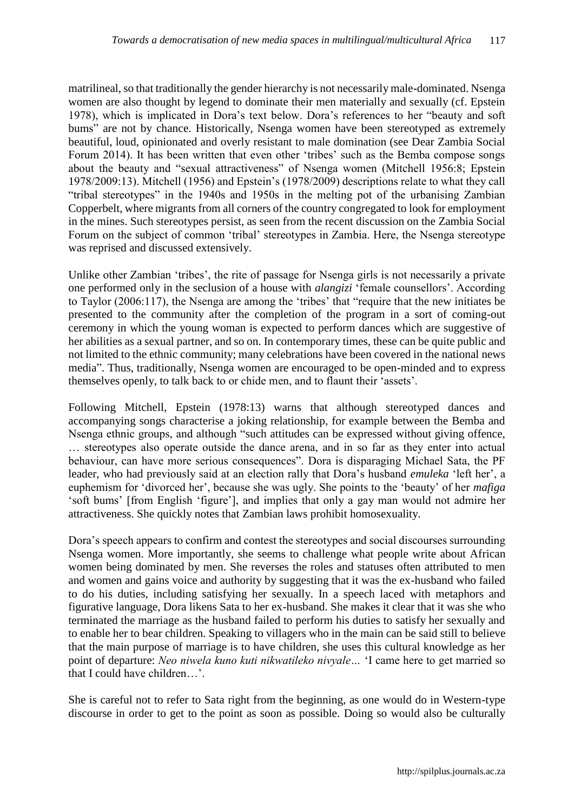matrilineal, so that traditionally the gender hierarchy is not necessarily male-dominated. Nsenga women are also thought by legend to dominate their men materially and sexually (cf. Epstein 1978), which is implicated in Dora's text below. Dora's references to her "beauty and soft bums" are not by chance. Historically, Nsenga women have been stereotyped as extremely beautiful, loud, opinionated and overly resistant to male domination (see Dear Zambia Social Forum 2014). It has been written that even other 'tribes' such as the Bemba compose songs about the beauty and "sexual attractiveness" of Nsenga women (Mitchell 1956:8; Epstein 1978/2009:13). Mitchell (1956) and Epstein's (1978/2009) descriptions relate to what they call "tribal stereotypes" in the 1940s and 1950s in the melting pot of the urbanising Zambian Copperbelt, where migrants from all corners of the country congregated to look for employment in the mines. Such stereotypes persist, as seen from the recent discussion on the Zambia Social Forum on the subject of common 'tribal' stereotypes in Zambia. Here, the Nsenga stereotype was reprised and discussed extensively.

Unlike other Zambian 'tribes', the rite of passage for Nsenga girls is not necessarily a private one performed only in the seclusion of a house with *alangizi* 'female counsellors'. According to Taylor (2006:117), the Nsenga are among the 'tribes' that "require that the new initiates be presented to the community after the completion of the program in a sort of coming-out ceremony in which the young woman is expected to perform dances which are suggestive of her abilities as a sexual partner, and so on. In contemporary times, these can be quite public and not limited to the ethnic community; many celebrations have been covered in the national news media". Thus, traditionally, Nsenga women are encouraged to be open-minded and to express themselves openly, to talk back to or chide men, and to flaunt their 'assets'.

Following Mitchell, Epstein (1978:13) warns that although stereotyped dances and accompanying songs characterise a joking relationship, for example between the Bemba and Nsenga ethnic groups, and although "such attitudes can be expressed without giving offence, … stereotypes also operate outside the dance arena, and in so far as they enter into actual behaviour, can have more serious consequences". Dora is disparaging Michael Sata, the PF leader, who had previously said at an election rally that Dora's husband *emuleka* 'left her', a euphemism for 'divorced her', because she was ugly. She points to the 'beauty' of her *mafiga*  'soft bums' [from English 'figure'], and implies that only a gay man would not admire her attractiveness. She quickly notes that Zambian laws prohibit homosexuality.

Dora's speech appears to confirm and contest the stereotypes and social discourses surrounding Nsenga women. More importantly, she seems to challenge what people write about African women being dominated by men. She reverses the roles and statuses often attributed to men and women and gains voice and authority by suggesting that it was the ex-husband who failed to do his duties, including satisfying her sexually. In a speech laced with metaphors and figurative language, Dora likens Sata to her ex-husband. She makes it clear that it was she who terminated the marriage as the husband failed to perform his duties to satisfy her sexually and to enable her to bear children. Speaking to villagers who in the main can be said still to believe that the main purpose of marriage is to have children, she uses this cultural knowledge as her point of departure: *Neo niwela kuno kuti nikwatileko nivyale…* 'I came here to get married so that I could have children…'.

She is careful not to refer to Sata right from the beginning, as one would do in Western-type discourse in order to get to the point as soon as possible. Doing so would also be culturally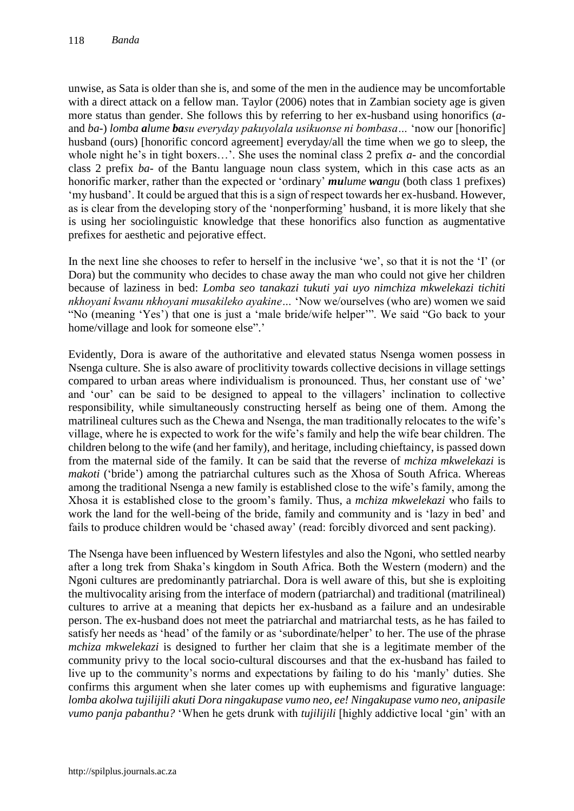unwise, as Sata is older than she is, and some of the men in the audience may be uncomfortable with a direct attack on a fellow man. Taylor (2006) notes that in Zambian society age is given more status than gender. She follows this by referring to her ex-husband using honorifics (*a*and *ba*-) *lomba alume basu everyday pakuyolala usikuonse ni bombasa…* 'now our [honorific] husband (ours) [honorific concord agreement] everyday/all the time when we go to sleep, the whole night he's in tight boxers…'. She uses the nominal class 2 prefix *a-* and the concordial class 2 prefix *ba-* of the Bantu language noun class system, which in this case acts as an honorific marker, rather than the expected or 'ordinary' *mulume wangu* (both class 1 prefixes) 'my husband'. It could be argued that this is a sign of respect towards her ex-husband. However, as is clear from the developing story of the 'nonperforming' husband, it is more likely that she is using her sociolinguistic knowledge that these honorifics also function as augmentative prefixes for aesthetic and pejorative effect.

In the next line she chooses to refer to herself in the inclusive 'we', so that it is not the 'I' (or Dora) but the community who decides to chase away the man who could not give her children because of laziness in bed: *Lomba seo tanakazi tukuti yai uyo nimchiza mkwelekazi tichiti nkhoyani kwanu nkhoyani musakileko ayakine…* 'Now we/ourselves (who are) women we said "No (meaning 'Yes') that one is just a 'male bride/wife helper'". We said "Go back to your home/village and look for someone else".'

Evidently, Dora is aware of the authoritative and elevated status Nsenga women possess in Nsenga culture. She is also aware of proclitivity towards collective decisions in village settings compared to urban areas where individualism is pronounced. Thus, her constant use of 'we' and 'our' can be said to be designed to appeal to the villagers' inclination to collective responsibility, while simultaneously constructing herself as being one of them. Among the matrilineal cultures such as the Chewa and Nsenga, the man traditionally relocates to the wife's village, where he is expected to work for the wife's family and help the wife bear children. The children belong to the wife (and her family), and heritage, including chieftaincy, is passed down from the maternal side of the family. It can be said that the reverse of *mchiza mkwelekazi* is *makoti* ('bride') among the patriarchal cultures such as the Xhosa of South Africa. Whereas among the traditional Nsenga a new family is established close to the wife's family, among the Xhosa it is established close to the groom's family. Thus, a *mchiza mkwelekazi* who fails to work the land for the well-being of the bride, family and community and is 'lazy in bed' and fails to produce children would be 'chased away' (read: forcibly divorced and sent packing).

The Nsenga have been influenced by Western lifestyles and also the Ngoni, who settled nearby after a long trek from Shaka's kingdom in South Africa. Both the Western (modern) and the Ngoni cultures are predominantly patriarchal. Dora is well aware of this, but she is exploiting the multivocality arising from the interface of modern (patriarchal) and traditional (matrilineal) cultures to arrive at a meaning that depicts her ex-husband as a failure and an undesirable person. The ex-husband does not meet the patriarchal and matriarchal tests, as he has failed to satisfy her needs as 'head' of the family or as 'subordinate/helper' to her. The use of the phrase *mchiza mkwelekazi* is designed to further her claim that she is a legitimate member of the community privy to the local socio-cultural discourses and that the ex-husband has failed to live up to the community's norms and expectations by failing to do his 'manly' duties. She confirms this argument when she later comes up with euphemisms and figurative language: *lomba akolwa tujilijili akuti Dora ningakupase vumo neo, ee! Ningakupase vumo neo, anipasile vumo panja pabanthu?* 'When he gets drunk with *tujilijili* [highly addictive local 'gin' with an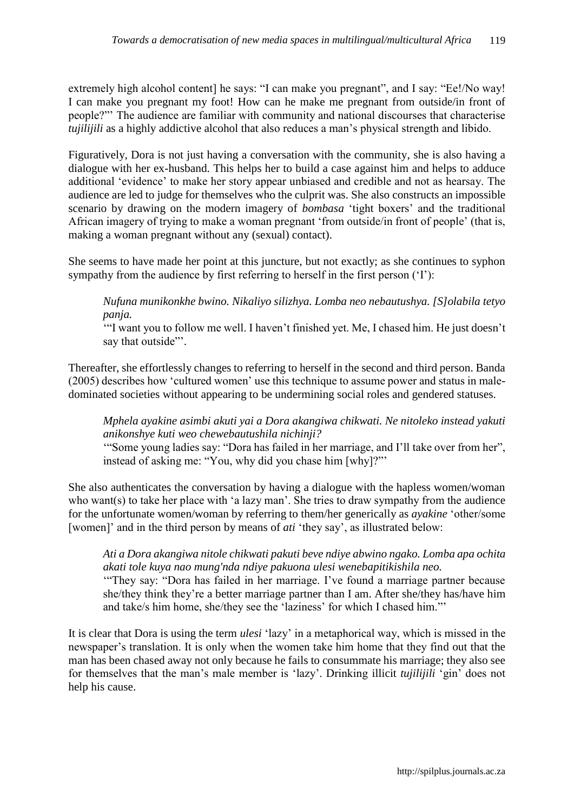extremely high alcohol content] he says: "I can make you pregnant", and I say: "Ee!/No way! I can make you pregnant my foot! How can he make me pregnant from outside/in front of people?"' The audience are familiar with community and national discourses that characterise *tujilijili* as a highly addictive alcohol that also reduces a man's physical strength and libido.

Figuratively, Dora is not just having a conversation with the community, she is also having a dialogue with her ex-husband. This helps her to build a case against him and helps to adduce additional 'evidence' to make her story appear unbiased and credible and not as hearsay. The audience are led to judge for themselves who the culprit was. She also constructs an impossible scenario by drawing on the modern imagery of *bombasa* 'tight boxers' and the traditional African imagery of trying to make a woman pregnant 'from outside/in front of people' (that is, making a woman pregnant without any (sexual) contact).

She seems to have made her point at this juncture, but not exactly; as she continues to syphon sympathy from the audience by first referring to herself in the first person ('I'):

*Nufuna munikonkhe bwino. Nikaliyo silizhya. Lomba neo nebautushya. [S]olabila tetyo panja.* 

'"I want you to follow me well. I haven't finished yet. Me, I chased him. He just doesn't say that outside".

Thereafter, she effortlessly changes to referring to herself in the second and third person. Banda (2005) describes how 'cultured women' use this technique to assume power and status in maledominated societies without appearing to be undermining social roles and gendered statuses.

*Mphela ayakine asimbi akuti yai a Dora akangiwa chikwati. Ne nitoleko instead yakuti anikonshye kuti weo chewebautushila nichinji?*

'"Some young ladies say: "Dora has failed in her marriage, and I'll take over from her", instead of asking me: "You, why did you chase him [why]?"'

She also authenticates the conversation by having a dialogue with the hapless women/woman who want(s) to take her place with 'a lazy man'. She tries to draw sympathy from the audience for the unfortunate women/woman by referring to them/her generically as *ayakine* 'other/some [women]' and in the third person by means of *ati* 'they say', as illustrated below:

*Ati a Dora akangiwa nitole chikwati pakuti beve ndiye abwino ngako. Lomba apa ochita akati tole kuya nao mung'nda ndiye pakuona ulesi wenebapitikishila neo.* 

'"They say: "Dora has failed in her marriage. I've found a marriage partner because she/they think they're a better marriage partner than I am. After she/they has/have him and take/s him home, she/they see the 'laziness' for which I chased him."'

It is clear that Dora is using the term *ulesi* 'lazy' in a metaphorical way, which is missed in the newspaper's translation. It is only when the women take him home that they find out that the man has been chased away not only because he fails to consummate his marriage; they also see for themselves that the man's male member is 'lazy'. Drinking illicit *tujilijili* 'gin' does not help his cause.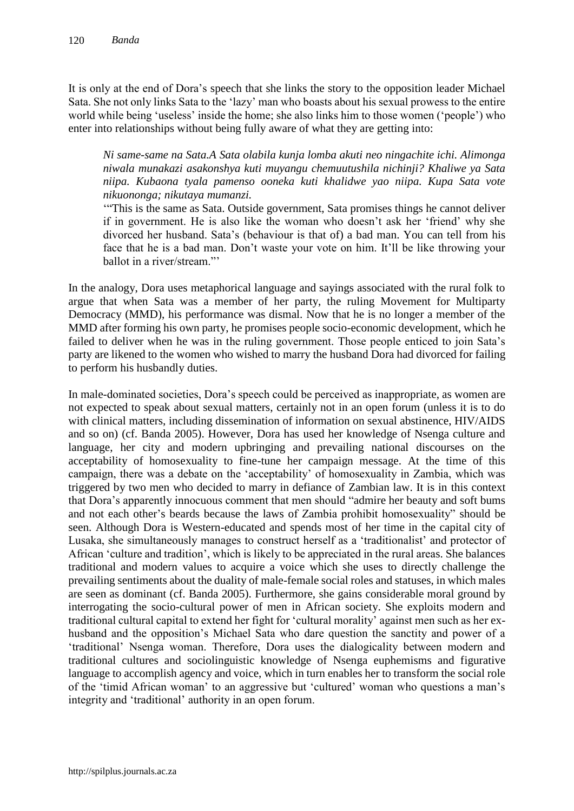It is only at the end of Dora's speech that she links the story to the opposition leader Michael Sata. She not only links Sata to the 'lazy' man who boasts about his sexual prowess to the entire world while being 'useless' inside the home; she also links him to those women ('people') who enter into relationships without being fully aware of what they are getting into:

*Ni same-same na Sata.A Sata olabila kunja lomba akuti neo ningachite ichi. Alimonga niwala munakazi asakonshya kuti muyangu chemuutushila nichinji? Khaliwe ya Sata niipa. Kubaona tyala pamenso ooneka kuti khalidwe yao niipa. Kupa Sata vote nikuononga; nikutaya mumanzi.* 

'"This is the same as Sata. Outside government, Sata promises things he cannot deliver if in government. He is also like the woman who doesn't ask her 'friend' why she divorced her husband. Sata's (behaviour is that of) a bad man. You can tell from his face that he is a bad man. Don't waste your vote on him. It'll be like throwing your ballot in a river/stream."'

In the analogy, Dora uses metaphorical language and sayings associated with the rural folk to argue that when Sata was a member of her party, the ruling Movement for Multiparty Democracy (MMD), his performance was dismal. Now that he is no longer a member of the MMD after forming his own party, he promises people socio-economic development, which he failed to deliver when he was in the ruling government. Those people enticed to join Sata's party are likened to the women who wished to marry the husband Dora had divorced for failing to perform his husbandly duties.

In male-dominated societies, Dora's speech could be perceived as inappropriate, as women are not expected to speak about sexual matters, certainly not in an open forum (unless it is to do with clinical matters, including dissemination of information on sexual abstinence, HIV/AIDS and so on) (cf. Banda 2005). However, Dora has used her knowledge of Nsenga culture and language, her city and modern upbringing and prevailing national discourses on the acceptability of homosexuality to fine-tune her campaign message. At the time of this campaign, there was a debate on the 'acceptability' of homosexuality in Zambia, which was triggered by two men who decided to marry in defiance of Zambian law. It is in this context that Dora's apparently innocuous comment that men should "admire her beauty and soft bums and not each other's beards because the laws of Zambia prohibit homosexuality" should be seen. Although Dora is Western-educated and spends most of her time in the capital city of Lusaka, she simultaneously manages to construct herself as a 'traditionalist' and protector of African 'culture and tradition', which is likely to be appreciated in the rural areas. She balances traditional and modern values to acquire a voice which she uses to directly challenge the prevailing sentiments about the duality of male-female social roles and statuses, in which males are seen as dominant (cf. Banda 2005). Furthermore, she gains considerable moral ground by interrogating the socio-cultural power of men in African society. She exploits modern and traditional cultural capital to extend her fight for 'cultural morality' against men such as her exhusband and the opposition's Michael Sata who dare question the sanctity and power of a 'traditional' Nsenga woman. Therefore, Dora uses the dialogicality between modern and traditional cultures and sociolinguistic knowledge of Nsenga euphemisms and figurative language to accomplish agency and voice, which in turn enables her to transform the social role of the 'timid African woman' to an aggressive but 'cultured' woman who questions a man's integrity and 'traditional' authority in an open forum.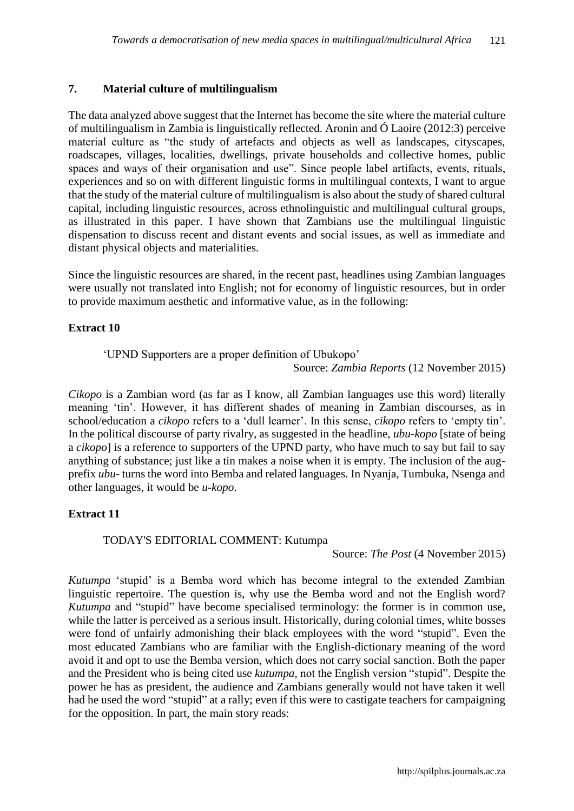## **7. Material culture of multilingualism**

The data analyzed above suggest that the Internet has become the site where the material culture of multilingualism in Zambia is linguistically reflected. Aronin and Ó Laoire (2012:3) perceive material culture as "the study of artefacts and objects as well as landscapes, cityscapes, roadscapes, villages, localities, dwellings, private households and collective homes, public spaces and ways of their organisation and use". Since people label artifacts, events, rituals, experiences and so on with different linguistic forms in multilingual contexts, I want to argue that the study of the material culture of multilingualism is also about the study of shared cultural capital, including linguistic resources, across ethnolinguistic and multilingual cultural groups, as illustrated in this paper. I have shown that Zambians use the multilingual linguistic dispensation to discuss recent and distant events and social issues, as well as immediate and distant physical objects and materialities.

Since the linguistic resources are shared, in the recent past, headlines using Zambian languages were usually not translated into English; not for economy of linguistic resources, but in order to provide maximum aesthetic and informative value, as in the following:

## **Extract 10**

'UPND Supporters are a proper definition of Ubukopo'

Source: *Zambia Reports* (12 November 2015)

*Cikopo* is a Zambian word (as far as I know, all Zambian languages use this word) literally meaning 'tin'. However, it has different shades of meaning in Zambian discourses, as in school/education a *cikopo* refers to a 'dull learner'. In this sense, *cikopo* refers to 'empty tin'. In the political discourse of party rivalry, as suggested in the headline, *ubu-kopo* [state of being a *cikopo*] is a reference to supporters of the UPND party, who have much to say but fail to say anything of substance; just like a tin makes a noise when it is empty. The inclusion of the augprefix *ubu*- turns the word into Bemba and related languages. In Nyanja, Tumbuka, Nsenga and other languages, it would be *u-kopo*.

## **Extract 11**

## TODAY'S EDITORIAL COMMENT: Kutumpa

Source: *The Post* (4 November 2015)

*Kutumpa* 'stupid' is a Bemba word which has become integral to the extended Zambian linguistic repertoire. The question is, why use the Bemba word and not the English word? *Kutumpa* and "stupid" have become specialised terminology: the former is in common use, while the latter is perceived as a serious insult. Historically, during colonial times, white bosses were fond of unfairly admonishing their black employees with the word "stupid". Even the most educated Zambians who are familiar with the English-dictionary meaning of the word avoid it and opt to use the Bemba version, which does not carry social sanction. Both the paper and the President who is being cited use *kutumpa*, not the English version "stupid". Despite the power he has as president, the audience and Zambians generally would not have taken it well had he used the word "stupid" at a rally; even if this were to castigate teachers for campaigning for the opposition. In part, the main story reads: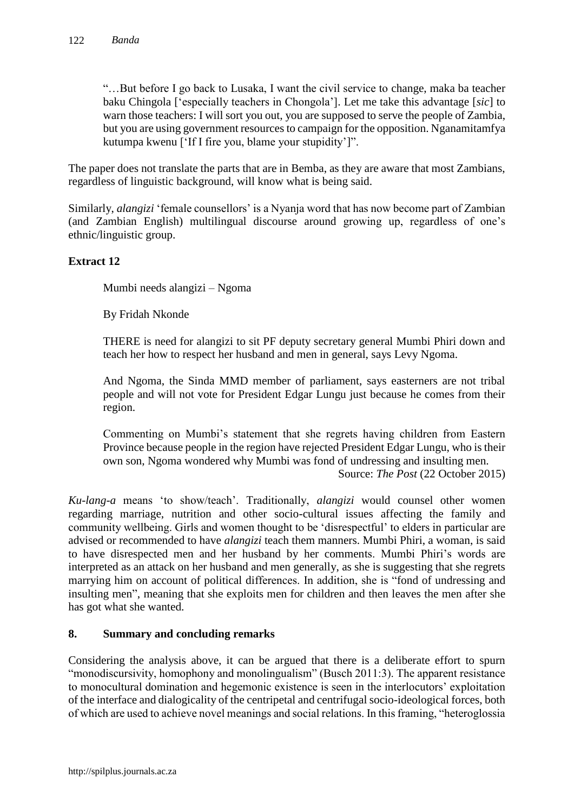"…But before I go back to Lusaka, I want the civil service to change, maka ba teacher baku Chingola ['especially teachers in Chongola']. Let me take this advantage [*sic*] to warn those teachers: I will sort you out, you are supposed to serve the people of Zambia, but you are using government resources to campaign for the opposition. Nganamitamfya kutumpa kwenu ['If I fire you, blame your stupidity']".

The paper does not translate the parts that are in Bemba, as they are aware that most Zambians, regardless of linguistic background, will know what is being said.

Similarly, *alangizi* 'female counsellors' is a Nyanja word that has now become part of Zambian (and Zambian English) multilingual discourse around growing up, regardless of one's ethnic/linguistic group.

# **Extract 12**

Mumbi needs alangizi – Ngoma

By Fridah Nkonde

THERE is need for alangizi to sit PF deputy secretary general Mumbi Phiri down and teach her how to respect her husband and men in general, says Levy Ngoma.

And Ngoma, the Sinda MMD member of parliament, says easterners are not tribal people and will not vote for President Edgar Lungu just because he comes from their region.

Commenting on Mumbi's statement that she regrets having children from Eastern Province because people in the region have rejected President Edgar Lungu, who is their own son, Ngoma wondered why Mumbi was fond of undressing and insulting men.

Source: *The Post* (22 October 2015)

*Ku-lang-a* means 'to show/teach'. Traditionally, *alangizi* would counsel other women regarding marriage, nutrition and other socio-cultural issues affecting the family and community wellbeing. Girls and women thought to be 'disrespectful' to elders in particular are advised or recommended to have *alangizi* teach them manners. Mumbi Phiri, a woman, is said to have disrespected men and her husband by her comments. Mumbi Phiri's words are interpreted as an attack on her husband and men generally, as she is suggesting that she regrets marrying him on account of political differences. In addition, she is "fond of undressing and insulting men", meaning that she exploits men for children and then leaves the men after she has got what she wanted.

## **8. Summary and concluding remarks**

Considering the analysis above, it can be argued that there is a deliberate effort to spurn "monodiscursivity, homophony and monolingualism" (Busch 2011:3). The apparent resistance to monocultural domination and hegemonic existence is seen in the interlocutors' exploitation of the interface and dialogicality of the centripetal and centrifugal socio-ideological forces, both of which are used to achieve novel meanings and social relations. In this framing, "heteroglossia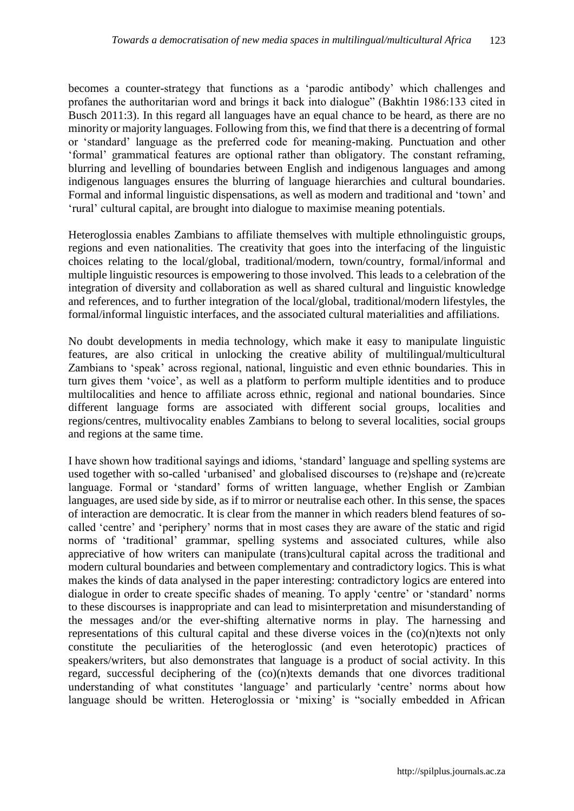becomes a counter-strategy that functions as a 'parodic antibody' which challenges and profanes the authoritarian word and brings it back into dialogue" (Bakhtin 1986:133 cited in Busch 2011:3). In this regard all languages have an equal chance to be heard, as there are no minority or majority languages. Following from this, we find that there is a decentring of formal or 'standard' language as the preferred code for meaning-making. Punctuation and other 'formal' grammatical features are optional rather than obligatory. The constant reframing, blurring and levelling of boundaries between English and indigenous languages and among indigenous languages ensures the blurring of language hierarchies and cultural boundaries. Formal and informal linguistic dispensations, as well as modern and traditional and 'town' and 'rural' cultural capital, are brought into dialogue to maximise meaning potentials.

Heteroglossia enables Zambians to affiliate themselves with multiple ethnolinguistic groups, regions and even nationalities. The creativity that goes into the interfacing of the linguistic choices relating to the local/global, traditional/modern, town/country, formal/informal and multiple linguistic resources is empowering to those involved. This leads to a celebration of the integration of diversity and collaboration as well as shared cultural and linguistic knowledge and references, and to further integration of the local/global, traditional/modern lifestyles, the formal/informal linguistic interfaces, and the associated cultural materialities and affiliations.

No doubt developments in media technology, which make it easy to manipulate linguistic features, are also critical in unlocking the creative ability of multilingual/multicultural Zambians to 'speak' across regional, national, linguistic and even ethnic boundaries. This in turn gives them 'voice', as well as a platform to perform multiple identities and to produce multilocalities and hence to affiliate across ethnic, regional and national boundaries. Since different language forms are associated with different social groups, localities and regions/centres, multivocality enables Zambians to belong to several localities, social groups and regions at the same time.

I have shown how traditional sayings and idioms, 'standard' language and spelling systems are used together with so-called 'urbanised' and globalised discourses to (re)shape and (re)create language. Formal or 'standard' forms of written language, whether English or Zambian languages, are used side by side, as if to mirror or neutralise each other. In this sense, the spaces of interaction are democratic. It is clear from the manner in which readers blend features of socalled 'centre' and 'periphery' norms that in most cases they are aware of the static and rigid norms of 'traditional' grammar, spelling systems and associated cultures, while also appreciative of how writers can manipulate (trans)cultural capital across the traditional and modern cultural boundaries and between complementary and contradictory logics. This is what makes the kinds of data analysed in the paper interesting: contradictory logics are entered into dialogue in order to create specific shades of meaning. To apply 'centre' or 'standard' norms to these discourses is inappropriate and can lead to misinterpretation and misunderstanding of the messages and/or the ever-shifting alternative norms in play. The harnessing and representations of this cultural capital and these diverse voices in the  $\left(\frac{1}{1}\right)$  (co)(n)texts not only constitute the peculiarities of the heteroglossic (and even heterotopic) practices of speakers/writers, but also demonstrates that language is a product of social activity. In this regard, successful deciphering of the (co)(n)texts demands that one divorces traditional understanding of what constitutes 'language' and particularly 'centre' norms about how language should be written. Heteroglossia or 'mixing' is "socially embedded in African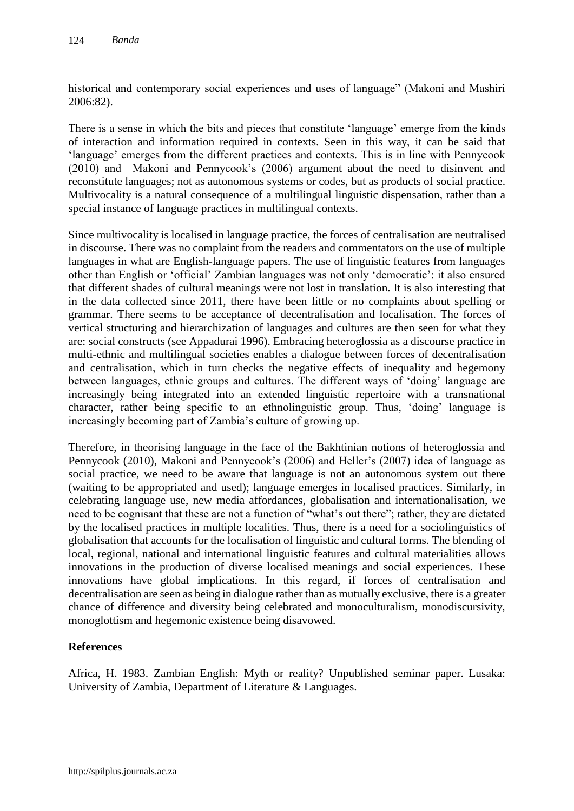historical and contemporary social experiences and uses of language" (Makoni and Mashiri 2006:82).

There is a sense in which the bits and pieces that constitute 'language' emerge from the kinds of interaction and information required in contexts. Seen in this way, it can be said that 'language' emerges from the different practices and contexts. This is in line with Pennycook (2010) and Makoni and Pennycook's (2006) argument about the need to disinvent and reconstitute languages; not as autonomous systems or codes, but as products of social practice. Multivocality is a natural consequence of a multilingual linguistic dispensation, rather than a special instance of language practices in multilingual contexts.

Since multivocality is localised in language practice, the forces of centralisation are neutralised in discourse. There was no complaint from the readers and commentators on the use of multiple languages in what are English-language papers. The use of linguistic features from languages other than English or 'official' Zambian languages was not only 'democratic': it also ensured that different shades of cultural meanings were not lost in translation. It is also interesting that in the data collected since 2011, there have been little or no complaints about spelling or grammar. There seems to be acceptance of decentralisation and localisation. The forces of vertical structuring and hierarchization of languages and cultures are then seen for what they are: social constructs (see Appadurai 1996). Embracing heteroglossia as a discourse practice in multi-ethnic and multilingual societies enables a dialogue between forces of decentralisation and centralisation, which in turn checks the negative effects of inequality and hegemony between languages, ethnic groups and cultures. The different ways of 'doing' language are increasingly being integrated into an extended linguistic repertoire with a transnational character, rather being specific to an ethnolinguistic group. Thus, 'doing' language is increasingly becoming part of Zambia's culture of growing up.

Therefore, in theorising language in the face of the Bakhtinian notions of heteroglossia and Pennycook (2010), Makoni and Pennycook's (2006) and Heller's (2007) idea of language as social practice, we need to be aware that language is not an autonomous system out there (waiting to be appropriated and used); language emerges in localised practices. Similarly, in celebrating language use, new media affordances, globalisation and internationalisation, we need to be cognisant that these are not a function of "what's out there"; rather, they are dictated by the localised practices in multiple localities. Thus, there is a need for a sociolinguistics of globalisation that accounts for the localisation of linguistic and cultural forms. The blending of local, regional, national and international linguistic features and cultural materialities allows innovations in the production of diverse localised meanings and social experiences. These innovations have global implications. In this regard, if forces of centralisation and decentralisation are seen as being in dialogue rather than as mutually exclusive, there is a greater chance of difference and diversity being celebrated and monoculturalism, monodiscursivity, monoglottism and hegemonic existence being disavowed.

## **References**

Africa, H. 1983. Zambian English: Myth or reality? Unpublished seminar paper. Lusaka: University of Zambia, Department of Literature & Languages.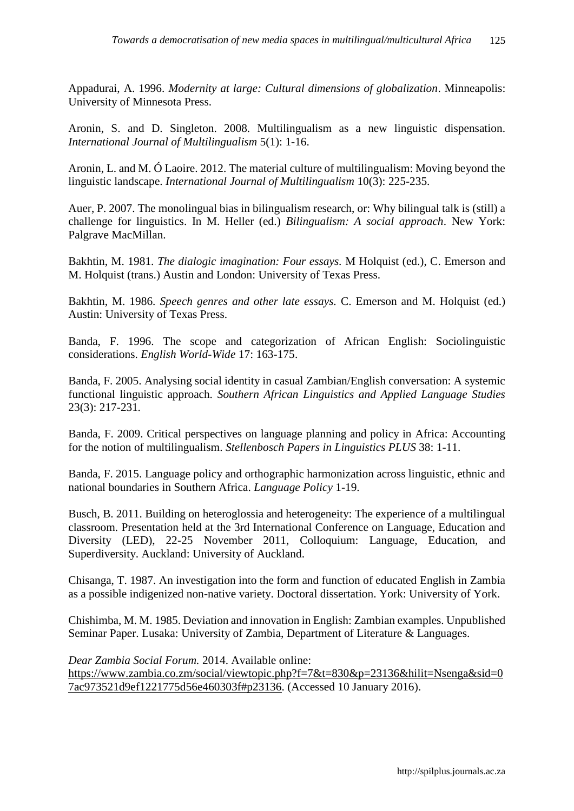Appadurai, A. 1996. *Modernity at large: Cultural dimensions of globalization*. Minneapolis: University of Minnesota Press.

Aronin, S. and D. Singleton. 2008. Multilingualism as a new linguistic dispensation. *International Journal of Multilingualism* 5(1): 1-16.

Aronin, L. and M. Ó Laoire. 2012. The material culture of multilingualism: Moving beyond the linguistic landscape. *International Journal of Multilingualism* 10(3): 225-235.

Auer, P. 2007. The monolingual bias in bilingualism research, or: Why bilingual talk is (still) a challenge for linguistics. In M. Heller (ed.) *Bilingualism: A social approach*. New York: Palgrave MacMillan.

Bakhtin, M. 1981. *[The dialogic imagination: Four essays.](http://books.google.com/books?id=JKZztxqdIpgC)* M Holquist (ed.), C. Emerson and M. Holquist (trans.) Austin and London: University of Texas Press.

Bakhtin, M. 1986. *Speech genres and other late essays.* C. Emerson and M. Holquist (ed.) Austin: University of Texas Press.

Banda, F. 1996. The scope and categorization of African English: Sociolinguistic considerations. *English World-Wide* 17: 163-175.

Banda, F. 2005. Analysing social identity in casual Zambian/English conversation: A systemic functional linguistic approach. *Southern African Linguistics and Applied Language Studies*  23(3): 217-231*.*

Banda, F. 2009. Critical perspectives on language planning and policy in Africa: Accounting for the notion of multilingualism. *Stellenbosch Papers in Linguistics PLUS* 38: 1-11.

Banda, F. 2015. Language policy and orthographic harmonization across linguistic, ethnic and national boundaries in Southern Africa. *Language Policy* 1-19.

Busch, B. 2011. Building on heteroglossia and heterogeneity: The experience of a multilingual classroom. Presentation held at the 3rd International Conference on Language, Education and Diversity (LED), 22-25 November 2011, Colloquium: Language, Education, and Superdiversity. Auckland: University of Auckland.

Chisanga, T. 1987. An investigation into the form and function of educated English in Zambia as a possible indigenized non-native variety. Doctoral dissertation. York: University of York.

Chishimba, M. M. 1985. Deviation and innovation in English: Zambian examples. Unpublished Seminar Paper. Lusaka: University of Zambia, Department of Literature & Languages.

*Dear Zambia Social Forum.* 2014. Available online:

[https://www.zambia.co.zm/social/viewtopic.php?f=7&t=830&p=23136&hilit=Nsenga&sid=0](https://www.zambia.co.zm/social/viewtopic.php?f=7&t=830&p=23136&hilit=Nsenga&sid=07ac973521d9ef1221775d56e460303f#p23136) [7ac973521d9ef1221775d56e460303f#p23136.](https://www.zambia.co.zm/social/viewtopic.php?f=7&t=830&p=23136&hilit=Nsenga&sid=07ac973521d9ef1221775d56e460303f#p23136) (Accessed 10 January 2016).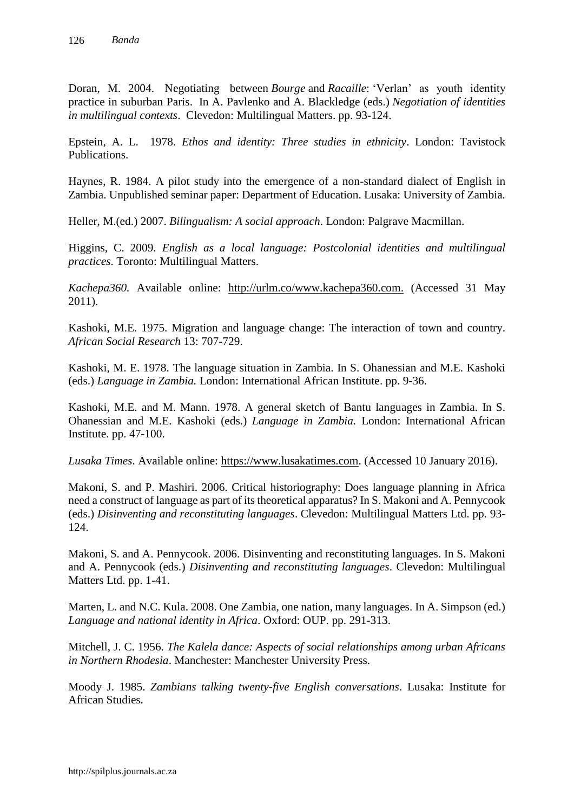Doran, M. 2004. Negotiating between *Bourge* and *Racaille*: 'Verlan' as youth identity practice in suburban Paris. In A. Pavlenko and A. Blackledge (eds.) *Negotiation of identities in multilingual contexts*. Clevedon: Multilingual Matters. pp. 93-124.

Epstein, A. L. 1978. *Ethos and identity: Three studies in ethnicity*. London: Tavistock Publications.

Haynes, R. 1984. A pilot study into the emergence of a non-standard dialect of English in Zambia. Unpublished seminar paper: Department of Education. Lusaka: University of Zambia.

Heller, M.(ed.) 2007. *Bilingualism: A social approach*. London: Palgrave Macmillan.

Higgins, C. 2009. *English as a local language: Postcolonial identities and multilingual practices*. Toronto: Multilingual Matters.

*Kachepa360.* Available online: [http://urlm.co/www.kachepa360.com.](http://urlm.co/www.kachepa360.com) (Accessed 31 May 2011).

Kashoki, M.E. 1975. Migration and language change: The interaction of town and country. *African Social Research* 13: 707-729.

Kashoki, M. E. 1978. The language situation in Zambia. In S. Ohanessian and M.E. Kashoki (eds.) *Language in Zambia.* London: International African Institute. pp. 9-36.

Kashoki, M.E. and M. Mann. 1978. A general sketch of Bantu languages in Zambia. In S. Ohanessian and M.E. Kashoki (eds.) *Language in Zambia.* London: International African Institute. pp. 47-100.

*Lusaka Times*. Available online: [https://www.lusakatimes.com.](https://www.lusakatimes.com/) (Accessed 10 January 2016).

Makoni, S. and P. Mashiri. 2006. Critical historiography: Does language planning in Africa need a construct of language as part of its theoretical apparatus? In S. Makoni and A. Pennycook (eds.) *Disinventing and reconstituting languages*. Clevedon: Multilingual Matters Ltd. pp. 93- 124.

Makoni, S. and A. Pennycook. 2006. Disinventing and reconstituting languages. In S. Makoni and A. Pennycook (eds.) *Disinventing and reconstituting languages*. Clevedon: Multilingual Matters Ltd. pp. 1-41.

Marten, L. and N.C. Kula. 2008. One Zambia, one nation, many languages. In A. Simpson (ed.) *Language and national identity in Africa*. Oxford: OUP. pp. 291-313.

Mitchell, J. C. 1956. *The Kalela dance: Aspects of social relationships among urban Africans in Northern Rhodesia*. Manchester: Manchester University Press.

Moody J. 1985. *Zambians talking twenty-five English conversations*. Lusaka: Institute for African Studies.